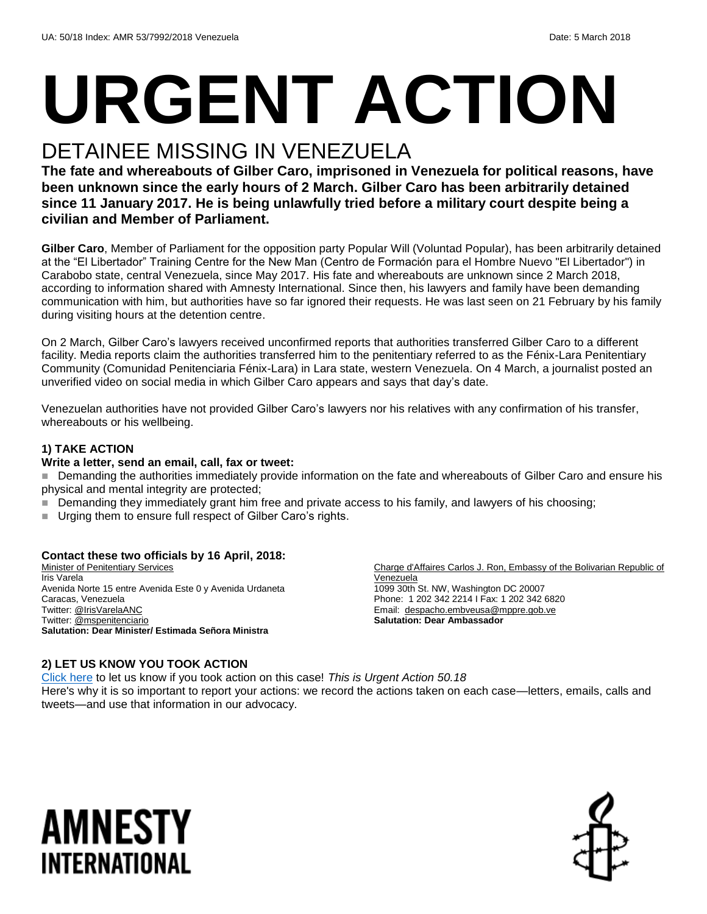# **URGENT ACTION**

## DETAINEE MISSING IN VENEZUELA

**The fate and whereabouts of Gilber Caro, imprisoned in Venezuela for political reasons, have been unknown since the early hours of 2 March. Gilber Caro has been arbitrarily detained since 11 January 2017. He is being unlawfully tried before a military court despite being a civilian and Member of Parliament.**

**Gilber Caro**, Member of Parliament for the opposition party Popular Will (Voluntad Popular), has been arbitrarily detained at the "El Libertador" Training Centre for the New Man (Centro de Formación para el Hombre Nuevo "El Libertador") in Carabobo state, central Venezuela, since May 2017. His fate and whereabouts are unknown since 2 March 2018, according to information shared with Amnesty International. Since then, his lawyers and family have been demanding communication with him, but authorities have so far ignored their requests. He was last seen on 21 February by his family during visiting hours at the detention centre.

On 2 March, Gilber Caro's lawyers received unconfirmed reports that authorities transferred Gilber Caro to a different facility. Media reports claim the authorities transferred him to the penitentiary referred to as the Fénix-Lara Penitentiary Community (Comunidad Penitenciaria Fénix-Lara) in Lara state, western Venezuela. On 4 March, a journalist posted an unverified video on social media in which Gilber Caro appears and says that day's date.

Venezuelan authorities have not provided Gilber Caro's lawyers nor his relatives with any confirmation of his transfer, whereabouts or his wellbeing.

#### **1) TAKE ACTION**

#### **Write a letter, send an email, call, fax or tweet:**

Demanding the authorities immediately provide information on the fate and whereabouts of Gilber Caro and ensure his physical and mental integrity are protected;

- Demanding they immediately grant him free and private access to his family, and lawyers of his choosing;
- Urging them to ensure full respect of Gilber Caro's rights.

#### **Contact these two officials by 16 April, 2018:**

Minister of Penitentiary Services Iris Varela Avenida Norte 15 entre Avenida Este 0 y Avenida Urdaneta Caracas, Venezuela Twitter[: @IrisVarelaANC](https://twitter.com/irisvarelaanc?lang=en) Twitter[: @mspenitenciario](https://twitter.com/mspenitenciario?lang=en) **Salutation: Dear Minister/ Estimada Señora Ministra**

Charge d'Affaires Carlos J. Ron, Embassy of the Bolivarian Republic of Venezuela

1099 30th St. NW, Washington DC 20007 Phone: 1 202 342 2214 I Fax: 1 202 342 6820 Email: [despacho.embveusa@mppre.gob.ve](mailto:despacho.embveusa@mppre.gob.ve) **Salutation: Dear Ambassador**

#### **2) LET US KNOW YOU TOOK ACTION**

[Click here](https://www.amnestyusa.org/report-urgent-actions/) to let us know if you took action on this case! *This is Urgent Action 50.18* Here's why it is so important to report your actions: we record the actions taken on each case—letters, emails, calls and tweets—and use that information in our advocacy.

# AMNESTY INTERNATIONAL